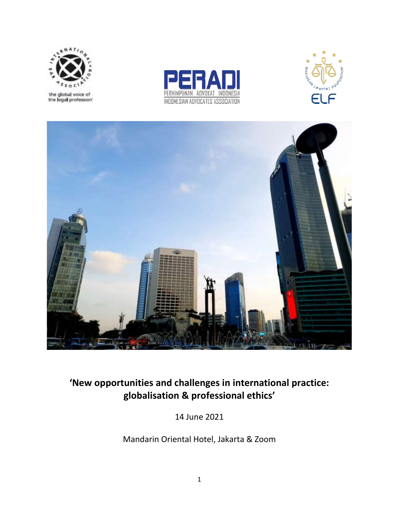

the global voice of<br>the legal profession







# **'New opportunities and challenges in international practice: globalisation & professional ethics'**

14 June 2021

Mandarin Oriental Hotel, Jakarta & Zoom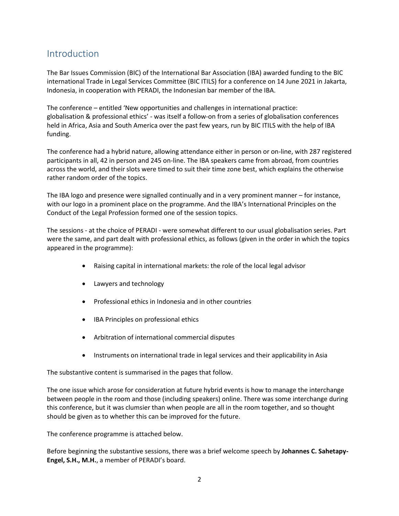## Introduction

The Bar Issues Commission (BIC) of the International Bar Association (IBA) awarded funding to the BIC international Trade in Legal Services Committee (BIC ITILS) for a conference on 14 June 2021 in Jakarta, Indonesia, in cooperation with PERADI, the Indonesian bar member of the IBA.

The conference – entitled 'New opportunities and challenges in international practice: globalisation & professional ethics' - was itself a follow-on from a series of globalisation conferences held in Africa, Asia and South America over the past few years, run by BIC ITILS with the help of IBA funding.

The conference had a hybrid nature, allowing attendance either in person or on-line, with 287 registered participants in all, 42 in person and 245 on-line. The IBA speakers came from abroad, from countries across the world, and their slots were timed to suit their time zone best, which explains the otherwise rather random order of the topics.

The IBA logo and presence were signalled continually and in a very prominent manner – for instance, with our logo in a prominent place on the programme. And the IBA's International Principles on the Conduct of the Legal Profession formed one of the session topics.

The sessions - at the choice of PERADI - were somewhat different to our usual globalisation series. Part were the same, and part dealt with professional ethics, as follows (given in the order in which the topics appeared in the programme):

- Raising capital in international markets: the role of the local legal advisor
- Lawyers and technology
- Professional ethics in Indonesia and in other countries
- IBA Principles on professional ethics
- Arbitration of international commercial disputes
- Instruments on international trade in legal services and their applicability in Asia

The substantive content is summarised in the pages that follow.

The one issue which arose for consideration at future hybrid events is how to manage the interchange between people in the room and those (including speakers) online. There was some interchange during this conference, but it was clumsier than when people are all in the room together, and so thought should be given as to whether this can be improved for the future.

The conference programme is attached below.

Before beginning the substantive sessions, there was a brief welcome speech by **Johannes C. Sahetapy-Engel, S.H., M.H.**, a member of PERADI's board.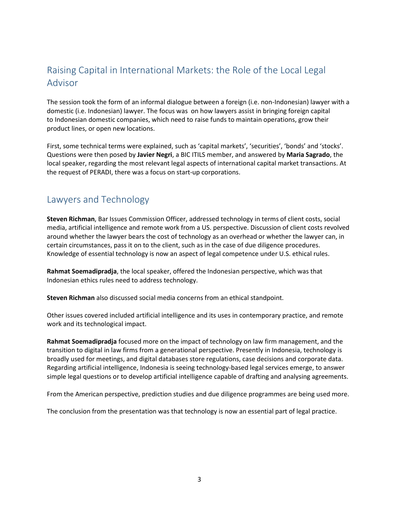## Raising Capital in International Markets: the Role of the Local Legal Advisor

The session took the form of an informal dialogue between a foreign (i.e. non-Indonesian) lawyer with a domestic (i.e. Indonesian) lawyer. The focus was on how lawyers assist in bringing foreign capital to Indonesian domestic companies, which need to raise funds to maintain operations, grow their product lines, or open new locations.

First, some technical terms were explained, such as 'capital markets', 'securities', 'bonds' and 'stocks'. Questions were then posed by **Javier Negri**, a BIC ITILS member, and answered by **Maria Sagrado**, the local speaker, regarding the most relevant legal aspects of international capital market transactions. At the request of PERADI, there was a focus on start-up corporations.

## Lawyers and Technology

**Steven Richman**, Bar Issues Commission Officer, addressed technology in terms of client costs, social media, artificial intelligence and remote work from a US. perspective. Discussion of client costs revolved around whether the lawyer bears the cost of technology as an overhead or whether the lawyer can, in certain circumstances, pass it on to the client, such as in the case of due diligence procedures. Knowledge of essential technology is now an aspect of legal competence under U.S. ethical rules.

**Rahmat Soemadipradja**, the local speaker, offered the Indonesian perspective, which was that Indonesian ethics rules need to address technology.

**Steven Richman** also discussed social media concerns from an ethical standpoint.

Other issues covered included artificial intelligence and its uses in contemporary practice, and remote work and its technological impact.

**Rahmat Soemadipradja** focused more on the impact of technology on law firm management, and the transition to digital in law firms from a generational perspective. Presently in Indonesia, technology is broadly used for meetings, and digital databases store regulations, case decisions and corporate data. Regarding artificial intelligence, Indonesia is seeing technology-based legal services emerge, to answer simple legal questions or to develop artificial intelligence capable of drafting and analysing agreements.

From the American perspective, prediction studies and due diligence programmes are being used more.

The conclusion from the presentation was that technology is now an essential part of legal practice.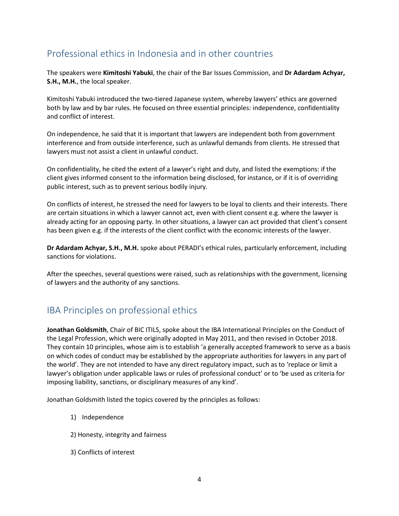## Professional ethics in Indonesia and in other countries

The speakers were **Kimitoshi Yabuki**, the chair of the Bar Issues Commission, and **Dr Adardam Achyar, S.H., M.H.**, the local speaker.

Kimitoshi Yabuki introduced the two-tiered Japanese system, whereby lawyers' ethics are governed both by law and by bar rules. He focused on three essential principles: independence, confidentiality and conflict of interest.

On independence, he said that it is important that lawyers are independent both from government interference and from outside interference, such as unlawful demands from clients. He stressed that lawyers must not assist a client in unlawful conduct.

On confidentiality, he cited the extent of a lawyer's right and duty, and listed the exemptions: if the client gives informed consent to the information being disclosed, for instance, or if it is of overriding public interest, such as to prevent serious bodily injury.

On conflicts of interest, he stressed the need for lawyers to be loyal to clients and their interests. There are certain situations in which a lawyer cannot act, even with client consent e.g. where the lawyer is already acting for an opposing party. In other situations, a lawyer can act provided that client's consent has been given e.g. if the interests of the client conflict with the economic interests of the lawyer.

**Dr Adardam Achyar, S.H., M.H.** spoke about PERADI's ethical rules, particularly enforcement, including sanctions for violations.

After the speeches, several questions were raised, such as relationships with the government, licensing of lawyers and the authority of any sanctions.

## IBA Principles on professional ethics

**Jonathan Goldsmith**, Chair of BIC ITILS, spoke about the IBA International Principles on the Conduct of the Legal Profession, which were originally adopted in May 2011, and then revised in October 2018. They contain 10 principles, whose aim is to establish 'a generally accepted framework to serve as a basis on which codes of conduct may be established by the appropriate authorities for lawyers in any part of the world'. They are not intended to have any direct regulatory impact, such as to 'replace or limit a lawyer's obligation under applicable laws or rules of professional conduct' or to 'be used as criteria for imposing liability, sanctions, or disciplinary measures of any kind'.

Jonathan Goldsmith listed the topics covered by the principles as follows:

- 1) Independence
- 2) Honesty, integrity and fairness
- 3) Conflicts of interest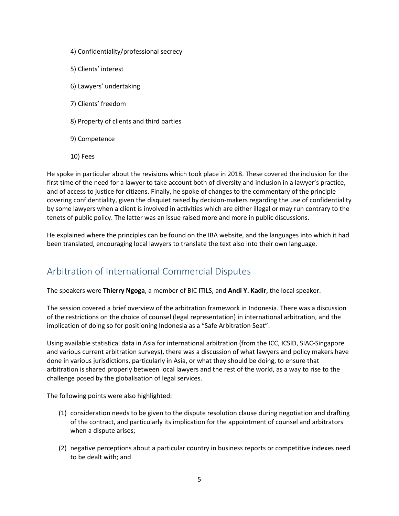- 4) Confidentiality/professional secrecy
- 5) Clients' interest
- 6) Lawyers' undertaking
- 7) Clients' freedom
- 8) Property of clients and third parties
- 9) Competence
- 10) Fees

He spoke in particular about the revisions which took place in 2018. These covered the inclusion for the first time of the need for a lawyer to take account both of diversity and inclusion in a lawyer's practice, and of access to justice for citizens. Finally, he spoke of changes to the commentary of the principle covering confidentiality, given the disquiet raised by decision-makers regarding the use of confidentiality by some lawyers when a client is involved in activities which are either illegal or may run contrary to the tenets of public policy. The latter was an issue raised more and more in public discussions.

He explained where the principles can be found on the IBA website, and the languages into which it had been translated, encouraging local lawyers to translate the text also into their own language.

## Arbitration of International Commercial Disputes

The speakers were **Thierry Ngoga**, a member of BIC ITILS, and **Andi Y. Kadir**, the local speaker.

The session covered a brief overview of the arbitration framework in Indonesia. There was a discussion of the restrictions on the choice of counsel (legal representation) in international arbitration, and the implication of doing so for positioning Indonesia as a "Safe Arbitration Seat".

Using available statistical data in Asia for international arbitration (from the ICC, ICSID, SIAC-Singapore and various current arbitration surveys), there was a discussion of what lawyers and policy makers have done in various jurisdictions, particularly in Asia, or what they should be doing, to ensure that arbitration is shared properly between local lawyers and the rest of the world, as a way to rise to the challenge posed by the globalisation of legal services.

The following points were also highlighted:

- (1) consideration needs to be given to the dispute resolution clause during negotiation and drafting of the contract, and particularly its implication for the appointment of counsel and arbitrators when a dispute arises;
- (2) negative perceptions about a particular country in business reports or competitive indexes need to be dealt with; and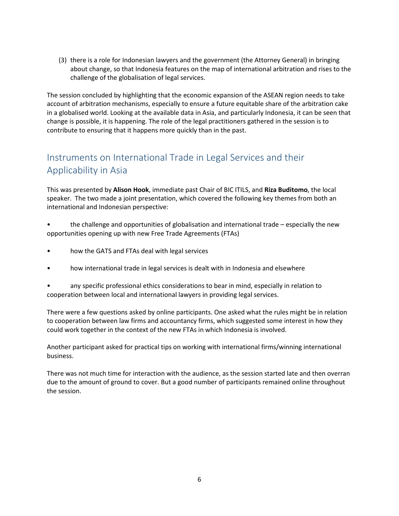(3) there is a role for Indonesian lawyers and the government (the Attorney General) in bringing about change, so that Indonesia features on the map of international arbitration and rises to the challenge of the globalisation of legal services.

The session concluded by highlighting that the economic expansion of the ASEAN region needs to take account of arbitration mechanisms, especially to ensure a future equitable share of the arbitration cake in a globalised world. Looking at the available data in Asia, and particularly Indonesia, it can be seen that change is possible, it is happening. The role of the legal practitioners gathered in the session is to contribute to ensuring that it happens more quickly than in the past.

## Instruments on International Trade in Legal Services and their Applicability in Asia

This was presented by **Alison Hook**, immediate past Chair of BIC ITILS, and **Riza Buditomo**, the local speaker. The two made a joint presentation, which covered the following key themes from both an international and Indonesian perspective:

• the challenge and opportunities of globalisation and international trade – especially the new opportunities opening up with new Free Trade Agreements (FTAs)

- how the GATS and FTAs deal with legal services
- how international trade in legal services is dealt with in Indonesia and elsewhere

• any specific professional ethics considerations to bear in mind, especially in relation to cooperation between local and international lawyers in providing legal services.

There were a few questions asked by online participants. One asked what the rules might be in relation to cooperation between law firms and accountancy firms, which suggested some interest in how they could work together in the context of the new FTAs in which Indonesia is involved.

Another participant asked for practical tips on working with international firms/winning international business.

There was not much time for interaction with the audience, as the session started late and then overran due to the amount of ground to cover. But a good number of participants remained online throughout the session.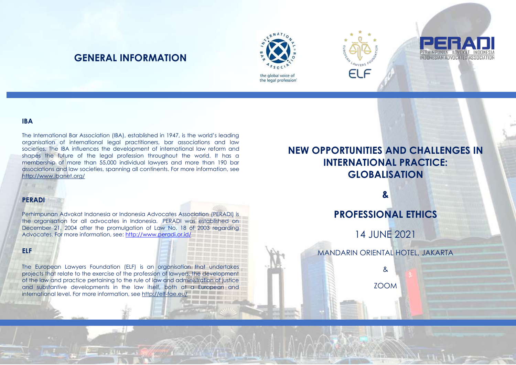## **GENERAL INFORMATION**





#### **IBA**

The International Bar Association (IBA), established in 1947, is the world's leading organisation of international legal practitioners, bar associations and law societies. The IBA influences the development of international law reform and shapes the future of the legal profession throughout the world. It has a membership of more than 55,000 individual lawyers and more than 190 bar associations and law societies, spanning all continents. For more information, see <http://www.ibanet.org/>

#### **PERADI**

Perhimpunan Advokat Indonesia or Indonesia Advocates Association (PERADI) is the organisation for all advocates in Indonesia. PERADI was established on December 21, 2004 after the promulgation of Law No. 18 of 2003 regarding Advocates. For more information, see[: http://www.peradi.or.id/](http://www.peradi.or.id/)

#### **ELF**

The European Lawyers Foundation (ELF) is an organisation that undertakes projects that relate to the exercise of the profession of lawyers, the development of the law and practice pertaining to the rule of law and administration of justice and substantive developments in the law itself, both at a European and international level. For more information, see <http://elf-fae.eu/>

# **NEW OPPORTUNITIES AND CHALLENGES IN INTERNATIONAL PRACTICE: GLOBALISATION**

**INDONESIAN ADVOCATES ASSO** 

**&**

**PROFESSIONAL ETHICS**

14 JUNE 2021

MANDARIN ORIENTAL HOTEL, JAKARTA

& ZOOM